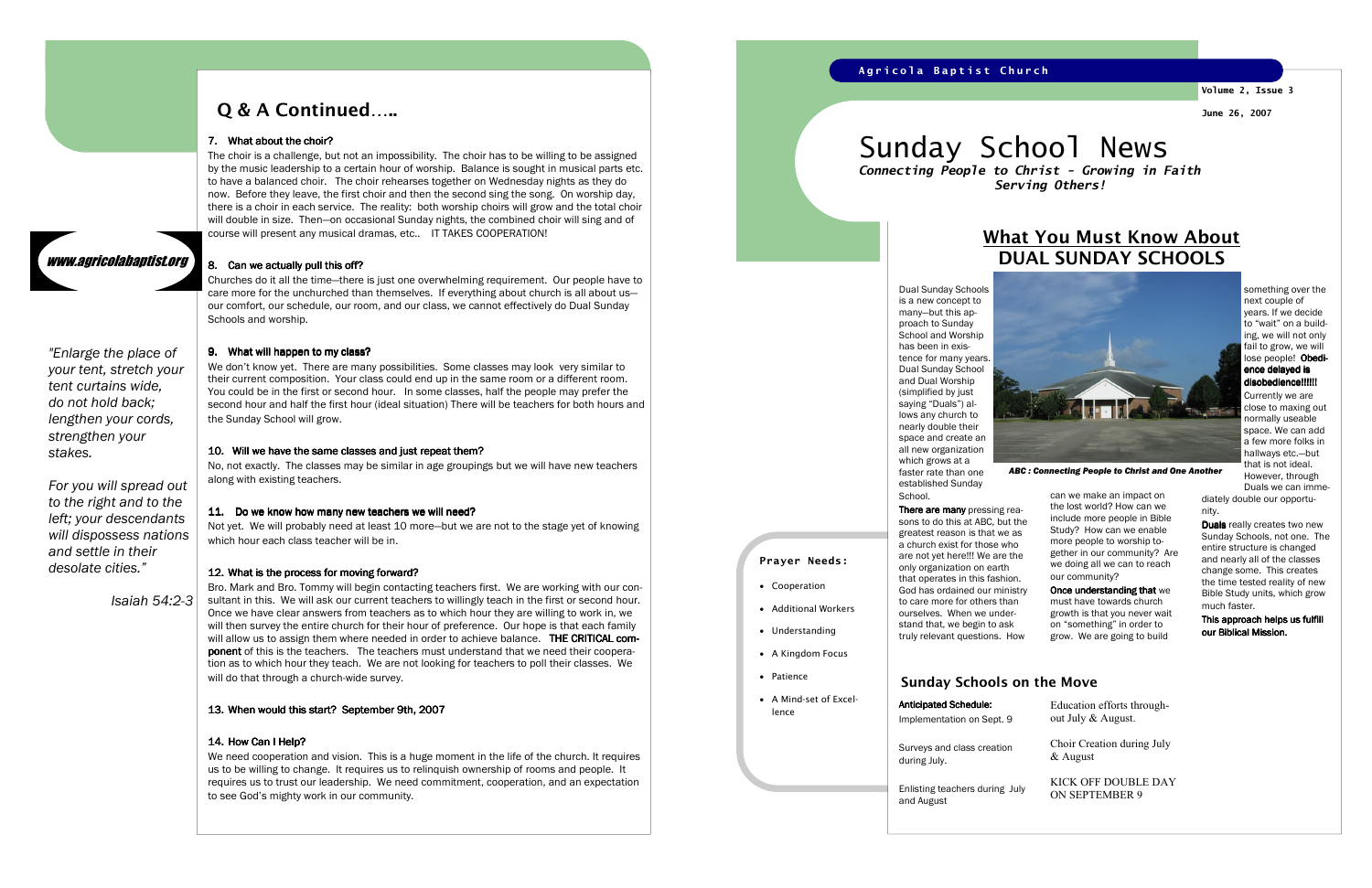The choir is a challenge, but not an impossibility. The choir has to be willing to be assigned by the music leadership to a certain hour of worship. Balance is sought in musical parts etc. to have a balanced choir. The choir rehearses together on Wednesday nights as they do now. Before they leave, the first choir and then the second sing the song. On worship day, there is a choir in each service. The reality: both worship choirs will grow and the total choir will double in size. Then—on occasional Sunday nights, the combined choir will sing and of course will present any musical dramas, etc.. IT TAKES COOPERATION!

Churches do it all the time—there is just one overwhelming requirement. Our people have to care more for the unchurched than themselves. If everything about church is all about us our comfort, our schedule, our room, and our class, we cannot effectively do Dual Sunday Schools and worship.

## 9. What will happen to my class?

We don't know yet. There are many possibilities. Some classes may look very similar to their current composition. Your class could end up in the same room or a different room. You could be in the first or second hour. In some classes, half the people may prefer the second hour and half the first hour (ideal situation) There will be teachers for both hours and the Sunday School will grow.

#### 10. Will we have the same classes and just repeat them?

 No, not exactly. The classes may be similar in age groupings but we will have new teachers along with existing teachers.

#### 11. Do we know how many new teachers we will need?

 Not yet. We will probably need at least 10 more—but we are not to the stage yet of knowing which hour each class teacher will be in.

## 12. What is the process for moving forward?

#### **There are many** pressing rea sons to do this at ABC, but the greatest reason is that we as a church exist for those who are not yet here!!! We are the only organization on earth that operates in this fashion. God has ordained our ministry to care more for others than ourselves. When we understand that, we begin to ask truly relevant questions. How

Once understanding that we must have towards church growth is that you never wait on "something" in order to grow. We are going to build

something over the next couple of years. If we decide to "wait" on a building, we will not only fail to grow, we will lose people! Obedience delayed is disobedience!!!!!!

Bro. Mark and Bro. Tommy will begin contacting teachers first. We are working with our consultant in this. We will ask our current teachers to willingly teach in the first or second hour. Once we have clear answers from teachers as to which hour they are willing to work in, we will then survey the entire church for their hour of preference. Our hope is that each family will allow us to assign them where needed in order to achieve balance.  $\,$  THE CRITICAL com-  $\,$ **ponent** of this is the teachers. The teachers must understand that we need their cooperation as to which hour they teach. We are not looking for teachers to poll their classes. We will do that through a church-wide survey.

# 13. When would this start? September 9th, 2007

#### 14. How Can I Help?

Duals really creates two new Sunday Schools, not one. The entire structure is changed and nearly all of the classes change some. This creates the time tested reality of new Bible Study units, which grow much faster.

This approach helps us fulfill our Biblical Mission.

Enlisting teachers during and August

We need cooperation and vision. This is a huge moment in the life of the church. It requires us to be willing to change. It requires us to relinquish ownership of rooms and people. It requires us to trust our leadership. We need commitment, cooperation, and an expectation to see God's mighty work in our community.

## A g r i c o l a B a p t i s t C h u r c h

# Q & A Continued…..

# 7. What about the choir?

www.agricolabaptist.org

#### 8. Can we actually pull this off?

"Enlarge the place of

your tent, stretch your tent curtains wide, do not hold back; lengthen your cords, strengthen your stakes.

For you will spread out to the right and to the left; your descendants will dispossess nations and settle in their desolate cities."

Isaiah 54:2-3



can we make an impact on the lost world? How can we include more people in Bible Study? How can we enable more people to worship together in our community? Are we doing all we can to reach our community?

Currently we are close to maxing out normally useable space. We can add a few more folks in hallways etc.—but that is not ideal. However, through Duals we can imme-

diately double our opportunity.



ABC : Connecting People to Christ and One Another

# What You Must Know AboutDUAL SUNDAY SCHOOLS

Prayer Needs:

• Cooperation

Anticipated Schedule: Implementation on Sept. 9

• Additional Workers

• Understanding

• A Kingdom Focus

• Patience

- 
- A Mind-set of Excellence

Sunday School News Connecting People to Christ - Growing in Faith

Serving Others!

#### Sunday Schools on the Move

Surveys and class creation during July.

| ົ    | Education efforts through-<br>out July & August. |
|------|--------------------------------------------------|
| n    | Choir Creation during July<br>& August           |
| July | KICK OFF DOUBLE DAY<br><b>ON SEPTEMBER 9</b>     |

Volume 2, Issue 3 June 26, 2007